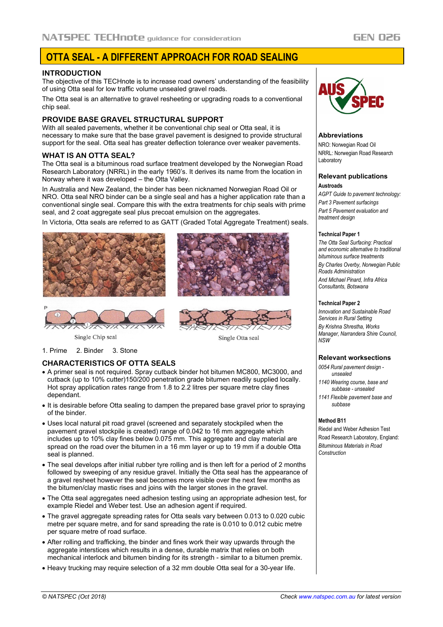# **OTTA SEAL - A DIFFERENT APPROACH FOR ROAD SEALING**

#### **INTRODUCTION**

chip seal.

The objective of this TECHnote is to increase road owners' understanding of the feasibility of using Otta seal for low traffic volume unsealed gravel roads.

The Otta seal is an alternative to gravel resheeting or upgrading roads to a conventional

### **PROVIDE BASE GRAVEL STRUCTURAL SUPPORT**

With all sealed pavements, whether it be conventional chip seal or Otta seal, it is necessary to make sure that the base gravel pavement is designed to provide structural support for the seal. Otta seal has greater deflection tolerance over weaker pavements.

#### **WHAT IS AN OTTA SEAL?**

The Otta seal is a bituminous road surface treatment developed by the Norwegian Road Research Laboratory (NRRL) in the early 1960's. It derives its name from the location in Norway where it was developed – the Otta Valley.

In Australia and New Zealand, the binder has been nicknamed Norwegian Road Oil or NRO. Otta seal NRO binder can be a single seal and has a higher application rate than a conventional single seal. Compare this with the extra treatments for chip seals with prime seal, and 2 coat aggregate seal plus precoat emulsion on the aggregates.

In Victoria, Otta seals are referred to as GATT (Graded Total Aggregate Treatment) seals.











Single Otta seal

1. Prime 2. Binder 3. Stone

Single Chip seal

### **CHARACTERISTICS OF OTTA SEALS**

- A primer seal is not required. Spray cutback binder hot bitumen MC800, MC3000, and cutback (up to 10% cutter)150/200 penetration grade bitumen readily supplied locally. Hot spray application rates range from 1.8 to 2.2 litres per square metre clay fines dependant.
- It is desirable before Otta sealing to dampen the prepared base gravel prior to spraying of the binder.
- Uses local natural pit road gravel (screened and separately stockpiled when the pavement gravel stockpile is created) range of 0.042 to 16 mm aggregate which includes up to 10% clay fines below 0.075 mm. This aggregate and clay material are spread on the road over the bitumen in a 16 mm layer or up to 19 mm if a double Otta seal is planned.
- The seal develops after initial rubber tyre rolling and is then left for a period of 2 months followed by sweeping of any residue gravel. Initially the Otta seal has the appearance of a gravel resheet however the seal becomes more visible over the next few months as the bitumen/clay mastic rises and joins with the larger stones in the gravel.
- The Otta seal aggregates need adhesion testing using an appropriate adhesion test, for example Riedel and Weber test. Use an adhesion agent if required.
- The gravel aggregate spreading rates for Otta seals vary between 0.013 to 0.020 cubic metre per square metre, and for sand spreading the rate is 0.010 to 0.012 cubic metre per square metre of road surface.
- After rolling and trafficking, the binder and fines work their way upwards through the aggregate interstices which results in a dense, durable matrix that relies on both mechanical interlock and bitumen binding for its strength - similar to a bitumen premix.
- Heavy trucking may require selection of a 32 mm double Otta seal for a 30-year life.



#### **Abbreviations**

NRO: Norwegian Road Oil NRRL: Norwegian Road Research **Laboratory** 

# **Relevant publications**

## **Austroads**

*AGPT Guide to pavement technology: Part 3 Pavement surfacings Part 5 Pavement evaluation and treatment design*

#### **Technical Paper 1**

*The Otta Seal Surfacing: Practical and economic alternative to traditional bituminous surface treatments By Charles Overby, Norwegian Public Roads Administration And Michael Pinard, Infra Africa Consultants, Botswana*

#### **Technical Paper 2**

*Innovation and Sustainable Road Services in Rural Setting By Krishna Shrestha, Works Manager, Narrandera Shire Council, NSW*

#### **Relevant worksections**

*0054 Rural pavement design unsealed*

- *1140 Wearing course, base and subbase - unsealed*
- *1141 Flexible pavement base and subbase*

#### **Method B11**

Riedel and Weber Adhesion Test Road Research Laboratory, England: *Bituminous Materials in Road Construction*